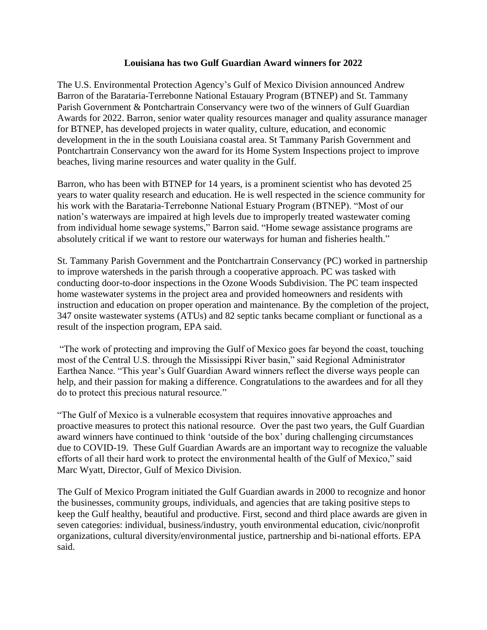## **Louisiana has two Gulf Guardian Award winners for 2022**

The U.S. Environmental Protection Agency's Gulf of Mexico Division announced Andrew Barron of the Barataria-Terrebonne National Estauary Program (BTNEP) and St. Tammany Parish Government & Pontchartrain Conservancy were two of the winners of Gulf Guardian Awards for 2022. Barron, senior water quality resources manager and quality assurance manager for BTNEP, has developed projects in water quality, culture, education, and economic development in the in the south Louisiana coastal area. St Tammany Parish Government and Pontchartrain Conservancy won the award for its Home System Inspections project to improve beaches, living marine resources and water quality in the Gulf.

Barron, who has been with BTNEP for 14 years, is a prominent scientist who has devoted 25 years to water quality research and education. He is well respected in the science community for his work with the Barataria-Terrebonne National Estuary Program (BTNEP). "Most of our nation's waterways are impaired at high levels due to improperly treated wastewater coming from individual home sewage systems," Barron said. "Home sewage assistance programs are absolutely critical if we want to restore our waterways for human and fisheries health."

St. Tammany Parish Government and the Pontchartrain Conservancy (PC) worked in partnership to improve watersheds in the parish through a cooperative approach. PC was tasked with conducting door-to-door inspections in the Ozone Woods Subdivision. The PC team inspected home wastewater systems in the project area and provided homeowners and residents with instruction and education on proper operation and maintenance. By the completion of the project, 347 onsite wastewater systems (ATUs) and 82 septic tanks became compliant or functional as a result of the inspection program, EPA said.

"The work of protecting and improving the Gulf of Mexico goes far beyond the coast, touching most of the Central U.S. through the Mississippi River basin," said Regional Administrator Earthea Nance. "This year's Gulf Guardian Award winners reflect the diverse ways people can help, and their passion for making a difference. Congratulations to the awardees and for all they do to protect this precious natural resource."

"The Gulf of Mexico is a vulnerable ecosystem that requires innovative approaches and proactive measures to protect this national resource. Over the past two years, the Gulf Guardian award winners have continued to think 'outside of the box' during challenging circumstances due to COVID-19. These Gulf Guardian Awards are an important way to recognize the valuable efforts of all their hard work to protect the environmental health of the Gulf of Mexico," said Marc Wyatt, Director, Gulf of Mexico Division.

The Gulf of Mexico Program initiated the Gulf Guardian awards in 2000 to recognize and honor the businesses, community groups, individuals, and agencies that are taking positive steps to keep the Gulf healthy, beautiful and productive. First, second and third place awards are given in seven categories: individual, business/industry, youth environmental education, civic/nonprofit organizations, cultural diversity/environmental justice, partnership and bi-national efforts. EPA said.